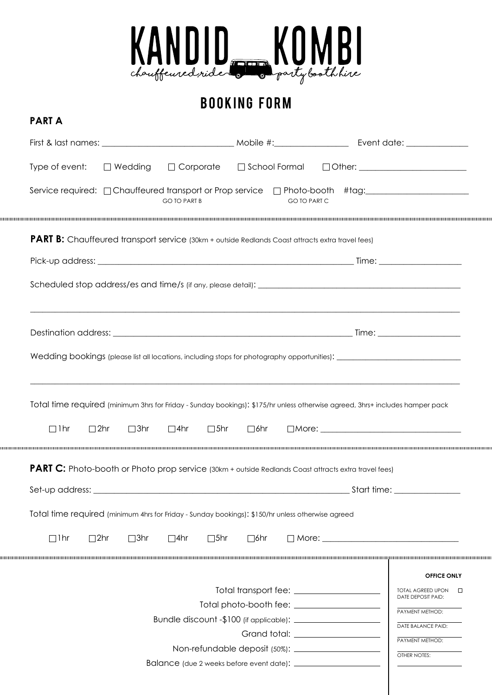

# booking form

**part A**

| Type of event: $\Box$ Wedding $\Box$ Corporate                                                                                                                                              |                                           | □ School Formal □ Other: <u>____________________</u>                    |
|---------------------------------------------------------------------------------------------------------------------------------------------------------------------------------------------|-------------------------------------------|-------------------------------------------------------------------------|
| Service required: □ Chauffeured transport or Prop service □ Photo-booth #tag: ____________________<br><b>GO TO PART B</b>                                                                   |                                           | <b>GO TO PART C</b>                                                     |
| <b>PART B:</b> Chauffeured transport service (30km + outside Redlands Coast attracts extra travel fees)                                                                                     |                                           |                                                                         |
|                                                                                                                                                                                             |                                           |                                                                         |
|                                                                                                                                                                                             |                                           |                                                                         |
|                                                                                                                                                                                             |                                           |                                                                         |
|                                                                                                                                                                                             |                                           |                                                                         |
|                                                                                                                                                                                             |                                           |                                                                         |
| Total time required (minimum 3hrs for Friday - Sunday bookings): \$175/hr unless otherwise agreed, 3hrs+ includes hamper pack<br>$\Box$ 3hr<br>$\square$ 4hr<br>$\Box$ 1hr<br>$\square$ 2hr | $\square$ 5hr<br>$\square$ 6hr            | $\Box$ More: $\Box$                                                     |
| <b>PART C:</b> Photo-booth or Photo prop service (30km + outside Redlands Coast attracts extra travel fees)                                                                                 |                                           |                                                                         |
|                                                                                                                                                                                             |                                           |                                                                         |
| Total time required (minimum 4hrs for Friday - Sunday bookings): \$150/hr unless otherwise agreed                                                                                           |                                           |                                                                         |
| $\Box$ lhr<br>$\square$ 2hr<br>$\square$ 3hr<br>$\square$ 4hr                                                                                                                               | $\square$ 5hr<br>$\Box$ 6hr               |                                                                         |
|                                                                                                                                                                                             | Total transport fee: ____________________ | <b>OFFICE ONLY</b><br>TOTAL AGREED UPON<br>$\Box$<br>DATE DEPOSIT PAID: |
|                                                                                                                                                                                             |                                           | PAYMENT METHOD:                                                         |
|                                                                                                                                                                                             |                                           |                                                                         |
|                                                                                                                                                                                             |                                           | DATE BALANCE PAID:<br>PAYMENT METHOD:                                   |